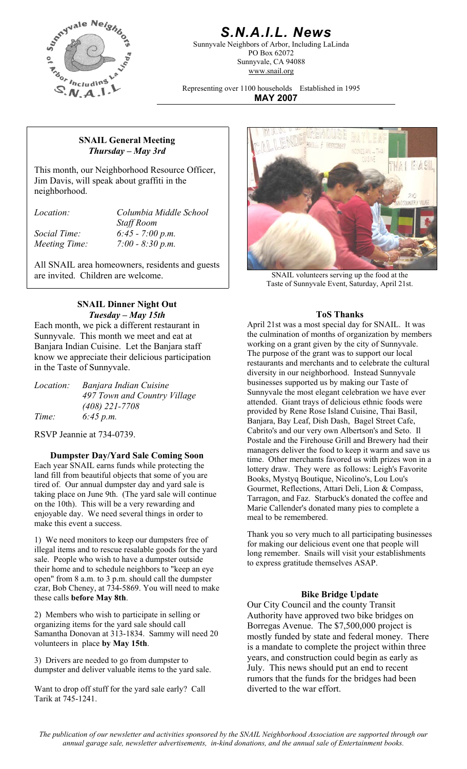

# *S.N.A.I.L. News*

Sunnyvale Neighbors of Arbor, Including LaLinda PO Box 62072 Sunnyvale, CA 94088 www.snail.org

Representing over 1100 households Established in 1995 **MAY 2007**

### **SNAIL General Meeting**  *Thursday – May 3rd*

This month, our Neighborhood Resource Officer, Jim Davis, will speak about graffiti in the neighborhood.

*Location: Columbia Middle School Staff Room Social Time: 6:45 - 7:00 p.m. Meeting Time: 7:00 - 8:30 p.m.* 

All SNAIL area homeowners, residents and guests are invited. Children are welcome. SNAIL volunteers serving up the food at the

## **SNAIL Dinner Night Out**  *Tuesday – May 15th* **ToS Thanks**

Each month, we pick a different restaurant in Sunnyvale. This month we meet and eat at Banjara Indian Cuisine. Let the Banjara staff know we appreciate their delicious participation in the Taste of Sunnyvale.

| <i>Location:</i> | Banjara Indian Cuisine       |
|------------------|------------------------------|
|                  | 497 Town and Country Village |
|                  | $(408)$ 221-7708             |
| Time:            | 6:45 p.m.                    |

RSVP Jeannie at 734-0739.

**Dumpster Day/Yard Sale Coming Soon**  Each year SNAIL earns funds while protecting the land fill from beautiful objects that some of you are tired of. Our annual dumpster day and yard sale is taking place on June 9th. (The yard sale will continue on the 10th). This will be a very rewarding and enjoyable day. We need several things in order to make this event a success.

1) We need monitors to keep our dumpsters free of illegal items and to rescue resalable goods for the yard sale. People who wish to have a dumpster outside their home and to schedule neighbors to "keep an eye open" from 8 a.m. to 3 p.m. should call the dumpster czar, Bob Cheney, at 734-5869. You will need to make these calls **before May 8th**. **Bike Bridge Update** 

2) Members who wish to participate in selling or organizing items for the yard sale should call Samantha Donovan at 313-1834. Sammy will need 20 volunteers in place **by May 15th**.

3) Drivers are needed to go from dumpster to dumpster and deliver valuable items to the yard sale.

Want to drop off stuff for the yard sale early? Call Tarik at 745-1241.



Taste of Sunnyvale Event, Saturday, April 21st.

April 21st was a most special day for SNAIL. It was the culmination of months of organization by members working on a grant given by the city of Sunnyvale. The purpose of the grant was to support our local restaurants and merchants and to celebrate the cultural diversity in our neighborhood. Instead Sunnyvale businesses supported us by making our Taste of Sunnyvale the most elegant celebration we have ever attended. Giant trays of delicious ethnic foods were provided by Rene Rose Island Cuisine, Thai Basil, Banjara, Bay Leaf, Dish Dash, Bagel Street Cafe, Cabrito's and our very own Albertson's and Seto. Il Postale and the Firehouse Grill and Brewery had their managers deliver the food to keep it warm and save us time. Other merchants favored us with prizes won in a lottery draw. They were as follows: Leigh's Favorite Books, Mystyq Boutique, Nicolino's, Lou Lou's Gourmet, Reflections, Attari Deli, Lion & Compass, Tarragon, and Faz. Starbuck's donated the coffee and Marie Callender's donated many pies to complete a meal to be remembered.

Thank you so very much to all participating businesses for making our delicious event one that people will long remember. Snails will visit your establishments to express gratitude themselves ASAP.

Our City Council and the county Transit Authority have approved two bike bridges on Borregas Avenue. The \$7,500,000 project is mostly funded by state and federal money. There is a mandate to complete the project within three years, and construction could begin as early as July. This news should put an end to recent rumors that the funds for the bridges had been diverted to the war effort.

*The publication of our newsletter and activities sponsored by the SNAIL Neighborhood Association are supported through our annual garage sale, newsletter advertisements, in-kind donations, and the annual sale of Entertainment books.*